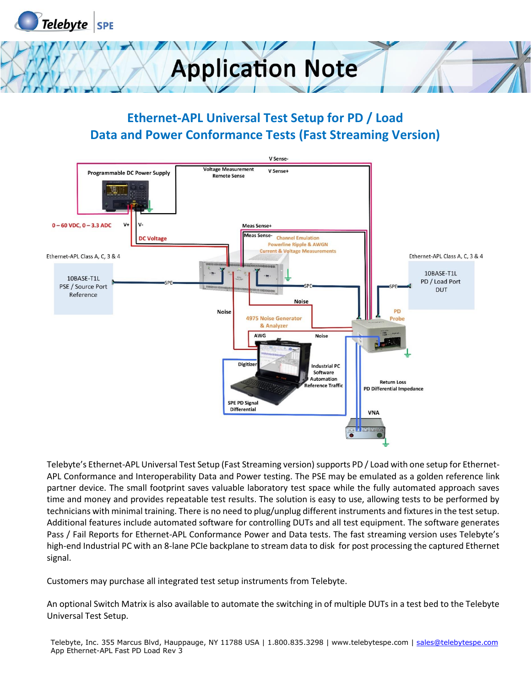



#### **Ethernet-APL Universal Test Setup for PD / Load Data and Power Conformance Tests (Fast Streaming Version)**



Telebyte's Ethernet-APL Universal Test Setup (Fast Streaming version) supports PD / Load with one setup for Ethernet-APL Conformance and Interoperability Data and Power testing. The PSE may be emulated as a golden reference link partner device. The small footprint saves valuable laboratory test space while the fully automated approach saves time and money and provides repeatable test results. The solution is easy to use, allowing tests to be performed by technicians with minimal training. There is no need to plug/unplug different instruments and fixtures in the test setup. Additional features include automated software for controlling DUTs and all test equipment. The software generates Pass / Fail Reports for Ethernet-APL Conformance Power and Data tests. The fast streaming version uses Telebyte's high-end Industrial PC with an 8-lane PCIe backplane to stream data to disk for post processing the captured Ethernet signal.

Customers may purchase all integrated test setup instruments from Telebyte.

An optional Switch Matrix is also available to automate the switching in of multiple DUTs in a test bed to the Telebyte Universal Test Setup.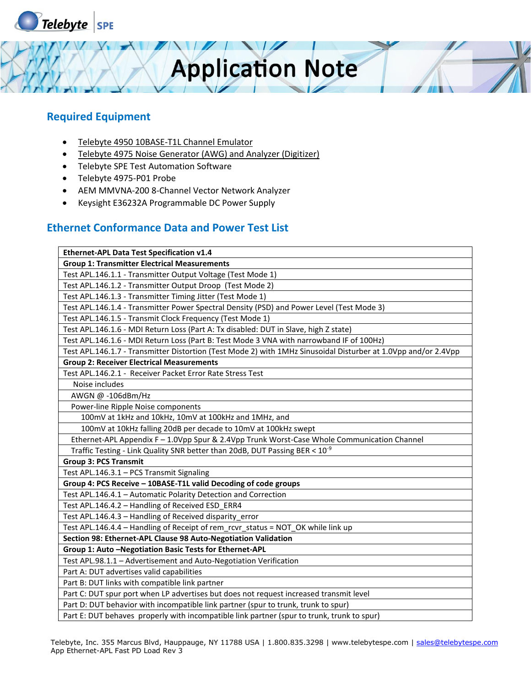

#### **Required Equipment**

- Telebyte 4950 10BASE-T1L Channel Emulator
- Telebyte 4975 Noise Generator (AWG) and Analyzer (Digitizer)
- Telebyte SPE Test Automation Software
- Telebyte 4975-P01 Probe
- AEM MMVNA-200 8-Channel Vector Network Analyzer
- Keysight E36232A Programmable DC Power Supply

#### **Ethernet Conformance Data and Power Test List**

| Ethernet-APL Data Test Specification v1.4                                                                      |
|----------------------------------------------------------------------------------------------------------------|
| <b>Group 1: Transmitter Electrical Measurements</b>                                                            |
| Test APL.146.1.1 - Transmitter Output Voltage (Test Mode 1)                                                    |
| Test APL.146.1.2 - Transmitter Output Droop (Test Mode 2)                                                      |
| Test APL.146.1.3 - Transmitter Timing Jitter (Test Mode 1)                                                     |
| Test APL.146.1.4 - Transmitter Power Spectral Density (PSD) and Power Level (Test Mode 3)                      |
| Test APL.146.1.5 - Transmit Clock Frequency (Test Mode 1)                                                      |
| Test APL.146.1.6 - MDI Return Loss (Part A: Tx disabled: DUT in Slave, high Z state)                           |
| Test APL.146.1.6 - MDI Return Loss (Part B: Test Mode 3 VNA with narrowband IF of 100Hz)                       |
| Test APL.146.1.7 - Transmitter Distortion (Test Mode 2) with 1MHz Sinusoidal Disturber at 1.0Vpp and/or 2.4Vpp |
| <b>Group 2: Receiver Electrical Measurements</b>                                                               |
| Test APL.146.2.1 - Receiver Packet Error Rate Stress Test                                                      |
| Noise includes                                                                                                 |
| AWGN @ -106dBm/Hz                                                                                              |
| Power-line Ripple Noise components                                                                             |
| 100mV at 1kHz and 10kHz, 10mV at 100kHz and 1MHz, and                                                          |
| 100mV at 10kHz falling 20dB per decade to 10mV at 100kHz swept                                                 |
| Ethernet-APL Appendix F - 1.0Vpp Spur & 2.4Vpp Trunk Worst-Case Whole Communication Channel                    |
| Traffic Testing - Link Quality SNR better than 20dB, DUT Passing BER < 10 <sup>-9</sup>                        |
| <b>Group 3: PCS Transmit</b>                                                                                   |
| Test APL.146.3.1 - PCS Transmit Signaling                                                                      |
| Group 4: PCS Receive - 10BASE-T1L valid Decoding of code groups                                                |
| Test APL.146.4.1 - Automatic Polarity Detection and Correction                                                 |
| Test APL.146.4.2 - Handling of Received ESD_ERR4                                                               |
| Test APL.146.4.3 - Handling of Received disparity error                                                        |
| Test APL.146.4.4 - Handling of Receipt of rem_rcvr_status = NOT_OK while link up                               |
| Section 98: Ethernet-APL Clause 98 Auto-Negotiation Validation                                                 |
| Group 1: Auto - Negotiation Basic Tests for Ethernet-APL                                                       |
| Test APL.98.1.1 - Advertisement and Auto-Negotiation Verification                                              |
| Part A: DUT advertises valid capabilities                                                                      |
| Part B: DUT links with compatible link partner                                                                 |
| Part C: DUT spur port when LP advertises but does not request increased transmit level                         |
| Part D: DUT behavior with incompatible link partner (spur to trunk, trunk to spur)                             |
| Part E: DUT behaves properly with incompatible link partner (spur to trunk, trunk to spur)                     |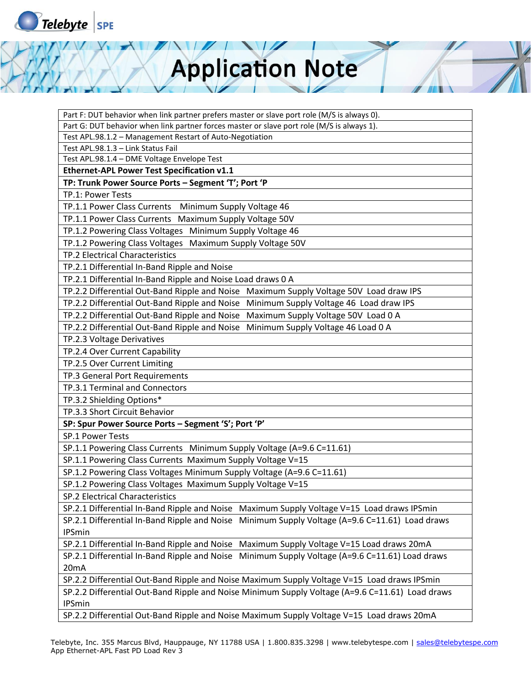

Part F: DUT behavior when link partner prefers master or slave port role (M/S is always 0).

Part G: DUT behavior when link partner forces master or slave port role (M/S is always 1).

Test APL.98.1.2 – Management Restart of Auto-Negotiation

Test APL.98.1.3 – Link Status Fail

Test APL.98.1.4 – DME Voltage Envelope Test

**Ethernet-APL Power Test Specification v1.1** 

**TP: Trunk Power Source Ports – Segment 'T'; Port 'P**

TP.1: Power Tests

TP.1.1 Power Class Currents Minimum Supply Voltage 46

TP.1.1 Power Class Currents Maximum Supply Voltage 50V

TP.1.2 Powering Class Voltages Minimum Supply Voltage 46

TP.1.2 Powering Class Voltages Maximum Supply Voltage 50V

TP.2 Electrical Characteristics

TP.2.1 Differential In-Band Ripple and Noise

TP.2.1 Differential In-Band Ripple and Noise Load draws 0 A

TP.2.2 Differential Out-Band Ripple and Noise Maximum Supply Voltage 50V Load draw IPS

TP.2.2 Differential Out-Band Ripple and Noise Minimum Supply Voltage 46 Load draw IPS

TP.2.2 Differential Out-Band Ripple and Noise Maximum Supply Voltage 50V Load 0 A

TP.2.2 Differential Out-Band Ripple and Noise Minimum Supply Voltage 46 Load 0 A

TP.2.3 Voltage Derivatives

TP.2.4 Over Current Capability

TP.2.5 Over Current Limiting

TP.3 General Port Requirements

TP.3.1 Terminal and Connectors

TP.3.2 Shielding Options\*

TP.3.3 Short Circuit Behavior

**SP: Spur Power Source Ports – Segment 'S'; Port 'P'**

SP.1 Power Tests

SP.1.1 Powering Class Currents Minimum Supply Voltage (A=9.6 C=11.61)

SP.1.1 Powering Class Currents Maximum Supply Voltage V=15

SP.1.2 Powering Class Voltages Minimum Supply Voltage (A=9.6 C=11.61)

SP.1.2 Powering Class Voltages Maximum Supply Voltage V=15

SP.2 Electrical Characteristics

SP.2.1 Differential In-Band Ripple and Noise Maximum Supply Voltage V=15 Load draws IPSmin SP.2.1 Differential In-Band Ripple and Noise Minimum Supply Voltage (A=9.6 C=11.61) Load draws IPSmin

SP.2.1 Differential In-Band Ripple and Noise Maximum Supply Voltage V=15 Load draws 20mA

SP.2.1 Differential In-Band Ripple and Noise Minimum Supply Voltage (A=9.6 C=11.61) Load draws 20mA

SP.2.2 Differential Out-Band Ripple and Noise Maximum Supply Voltage V=15 Load draws IPSmin

SP.2.2 Differential Out-Band Ripple and Noise Minimum Supply Voltage (A=9.6 C=11.61) Load draws IPSmin

SP.2.2 Differential Out-Band Ripple and Noise Maximum Supply Voltage V=15 Load draws 20mA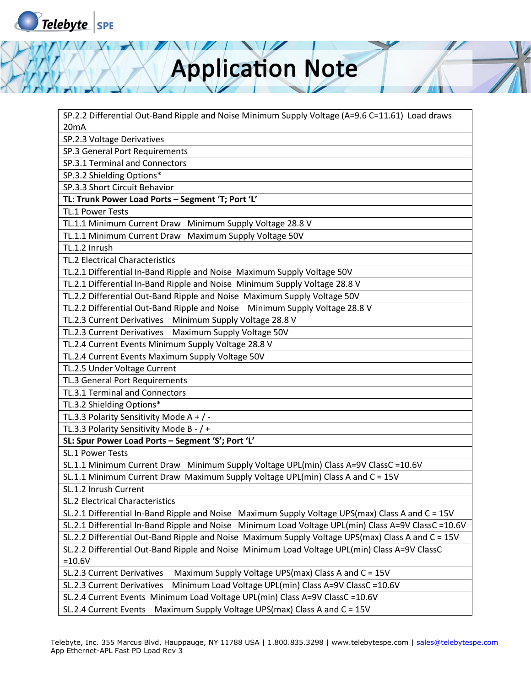

SP.2.2 Differential Out-Band Ripple and Noise Minimum Supply Voltage (A=9.6 C=11.61) Load draws 20mA

SP.2.3 Voltage Derivatives

SP.3 General Port Requirements

SP.3.1 Terminal and Connectors

SP.3.2 Shielding Options\*

SP.3.3 Short Circuit Behavior

**TL: Trunk Power Load Ports – Segment 'T; Port 'L'**

TL.1 Power Tests

TL.1.1 Minimum Current Draw Minimum Supply Voltage 28.8 V

TL.1.1 Minimum Current Draw Maximum Supply Voltage 50V

TL.1.2 Inrush

TL.2 Electrical Characteristics

TL.2.1 Differential In-Band Ripple and Noise Maximum Supply Voltage 50V

TL.2.1 Differential In-Band Ripple and Noise Minimum Supply Voltage 28.8 V

TL.2.2 Differential Out-Band Ripple and Noise Maximum Supply Voltage 50V

TL.2.2 Differential Out-Band Ripple and Noise Minimum Supply Voltage 28.8 V

TL.2.3 Current Derivatives Minimum Supply Voltage 28.8 V

TL.2.3 Current Derivatives Maximum Supply Voltage 50V

TL.2.4 Current Events Minimum Supply Voltage 28.8 V

TL.2.4 Current Events Maximum Supply Voltage 50V

TL.2.5 Under Voltage Current

TL.3 General Port Requirements

TL.3.1 Terminal and Connectors

TL.3.2 Shielding Options\*

TL.3.3 Polarity Sensitivity Mode A + / -

TL.3.3 Polarity Sensitivity Mode B - / +

**SL: Spur Power Load Ports – Segment 'S'; Port 'L'**

SL.1 Power Tests

SL.1.1 Minimum Current Draw Minimum Supply Voltage UPL(min) Class A=9V ClassC =10.6V

SL.1.1 Minimum Current Draw Maximum Supply Voltage UPL(min) Class A and C = 15V

SL.1.2 Inrush Current

SL.2 Electrical Characteristics

SL.2.1 Differential In-Band Ripple and Noise Maximum Supply Voltage UPS(max) Class A and C = 15V

SL.2.1 Differential In-Band Ripple and Noise Minimum Load Voltage UPL(min) Class A=9V ClassC =10.6V

SL.2.2 Differential Out-Band Ripple and Noise Maximum Supply Voltage UPS(max) Class A and C = 15V

SL.2.2 Differential Out-Band Ripple and Noise Minimum Load Voltage UPL(min) Class A=9V ClassC  $=10.6V$ 

SL.2.3 Current Derivatives Maximum Supply Voltage UPS(max) Class A and C = 15V

SL.2.3 Current Derivatives Minimum Load Voltage UPL(min) Class A=9V ClassC =10.6V

SL.2.4 Current Events Minimum Load Voltage UPL(min) Class A=9V ClassC =10.6V

SL.2.4 Current Events Maximum Supply Voltage UPS(max) Class A and C = 15V